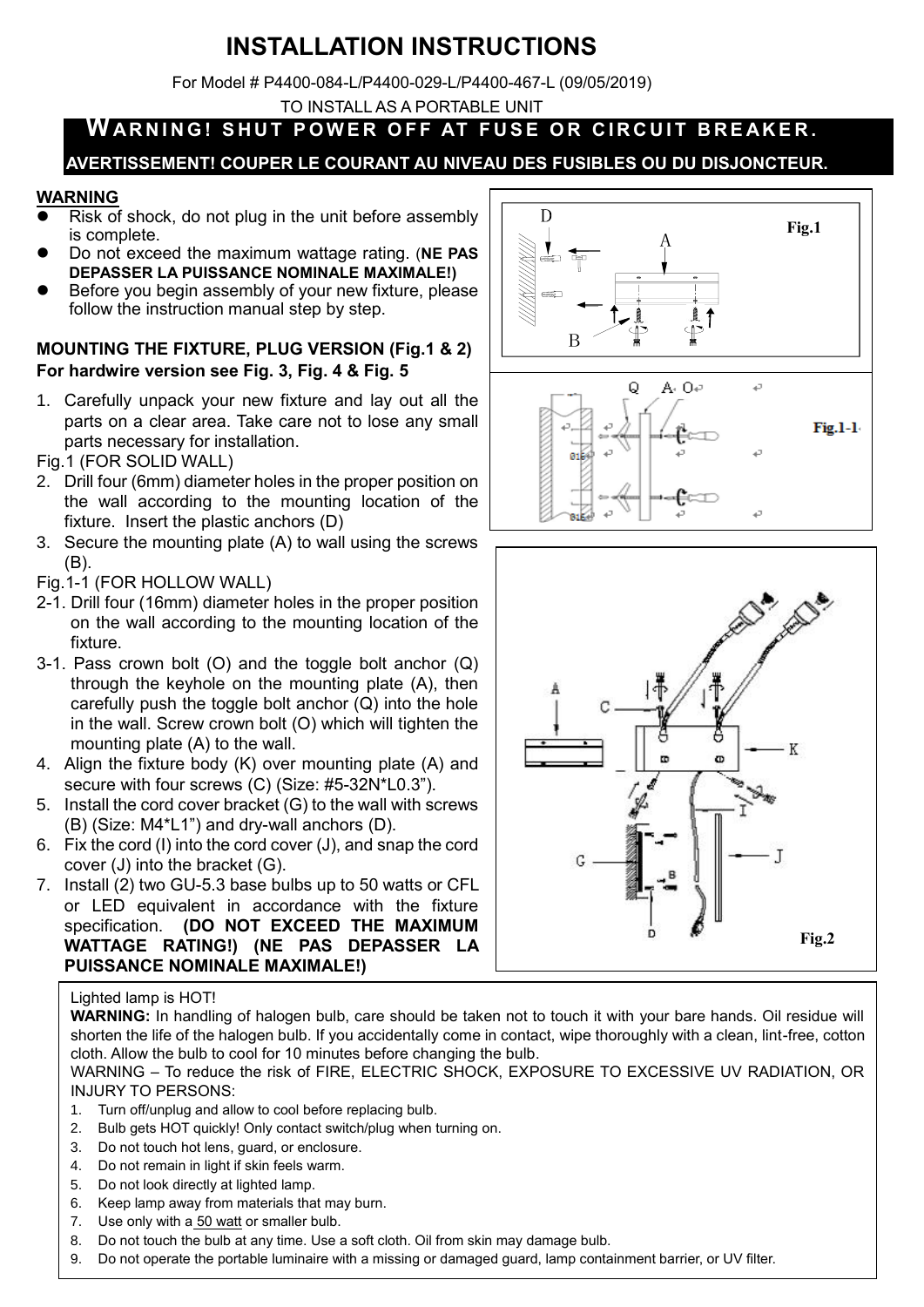# **INSTALLATION INSTRUCTIONS**

For Model # P4400-084-L/P4400-029-L/P4400-467-L (09/05/2019)

TO INSTALL AS A PORTABLE UNIT

## WARNING! SHUT POWER OFF AT FUSE OR CIRCUIT BREAKER.

## **AVERTISSEMENT! COUPER LE COURANT AU NIVEAU DES FUSIBLES OU DU DISJONCTEUR.**

## **WARNING**

- Risk of shock, do not plug in the unit before assembly is complete.
- **Do not exceed the maximum wattage rating. (NE PAS DEPASSER LA PUISSANCE NOMINALE MAXIMALE!)**
- Before you begin assembly of your new fixture, please follow the instruction manual step by step.

### **MOUNTING THE FIXTURE, PLUG VERSION (Fig.1 & 2) For hardwire version see Fig. 3, Fig. 4 & Fig. 5**

- 1. Carefully unpack your new fixture and lay out all the parts on a clear area. Take care not to lose any small parts necessary for installation.
- Fig.1 (FOR SOLID WALL)
- 2. Drill four (6mm) diameter holes in the proper position on the wall according to the mounting location of the fixture. Insert the plastic anchors (D)
- 3. Secure the mounting plate (A) to wall using the screws (B).
- Fig.1-1 (FOR HOLLOW WALL)
- 2-1. Drill four (16mm) diameter holes in the proper position on the wall according to the mounting location of the fixture.
- 3-1. Pass crown bolt (O) and the toggle bolt anchor (Q) through the keyhole on the mounting plate (A), then carefully push the toggle bolt anchor  $(Q)$  into the hole in the wall. Screw crown bolt (O) which will tighten the mounting plate (A) to the wall.
- 4. Align the fixture body (K) over mounting plate (A) and secure with four screws (C) (Size: #5-32N\*L0.3").
- 5. Install the cord cover bracket (G) to the wall with screws (B) (Size: M4\*L1") and dry-wall anchors (D).
- 6. Fix the cord (I) into the cord cover (J), and snap the cord cover (J) into the bracket (G).
- 7. Install (2) two GU-5.3 base bulbs up to 50 watts or CFL or LED equivalent in accordance with the fixture specification. **(DO NOT EXCEED THE MAXIMUM WATTAGE RATING!) (NE PAS DEPASSER LA PUISSANCE NOMINALE MAXIMALE!)**

#### Lighted lamp is HOT!

**WARNING:** In handling of halogen bulb, care should be taken not to touch it with your bare hands. Oil residue will shorten the life of the halogen bulb. If you accidentally come in contact, wipe thoroughly with a clean, lint-free, cotton cloth. Allow the bulb to cool for 10 minutes before changing the bulb.

WARNING – To reduce the risk of FIRE, ELECTRIC SHOCK, EXPOSURE TO EXCESSIVE UV RADIATION, OR INJURY TO PERSONS:

- 1. Turn off/unplug and allow to cool before replacing bulb.
- 2. Bulb gets HOT quickly! Only contact switch/plug when turning on.
- 3. Do not touch hot lens, guard, or enclosure.
- 4. Do not remain in light if skin feels warm.
- 5. Do not look directly at lighted lamp.
- 6. Keep lamp away from materials that may burn.
- 7. Use only with a 50 watt or smaller bulb.
- 8. Do not touch the bulb at any time. Use a soft cloth. Oil from skin may damage bulb.
- **INSTALLATION INSTRUCTIONS** 9. Do not operate the portable luminaire with a missing or damaged guard, lamp containment barrier, or UV filter.